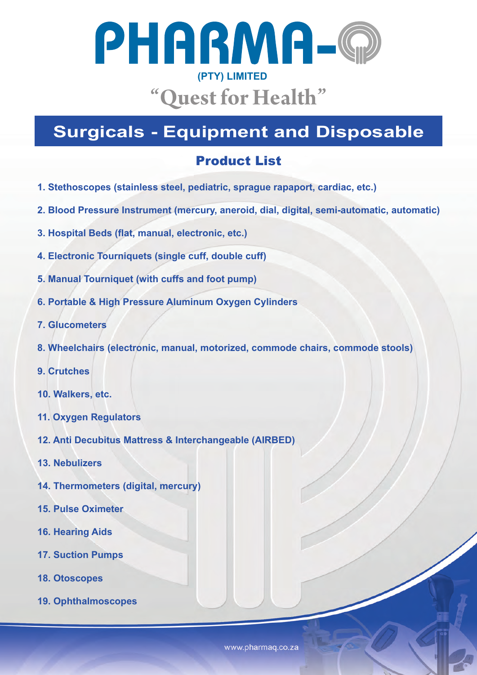

## **Surgicals - Equipment and Disposable**

## Product List

- **1. Stethoscopes (stainless steel, pediatric, sprague rapaport, cardiac, etc.)**
- **2. Blood Pressure Instrument (mercury, aneroid, dial, digital, semi-automatic, automatic)**
- **3. Hospital Beds (flat, manual, electronic, etc.)**
- **4. Electronic Tourniquets (single cuff, double cuff)**
- **5. Manual Tourniquet (with cuffs and foot pump)**
- **6. Portable & High Pressure Aluminum Oxygen Cylinders**
- **7. Glucometers**
- **8. Wheelchairs (electronic, manual, motorized, commode chairs, commode stools)**
- **9. Crutches**
- **10. Walkers, etc.**
- **11. Oxygen Regulators**
- **12. Anti Decubitus Mattress & Interchangeable (AIRBED)**
- **13. Nebulizers**
- **14. Thermometers (digital, mercury)**
- **15. Pulse Oximeter**
- **16. Hearing Aids**
- **17. Suction Pumps**
- **18. Otoscopes**
- **19. Ophthalmoscopes**

www.pharmaq.co.za